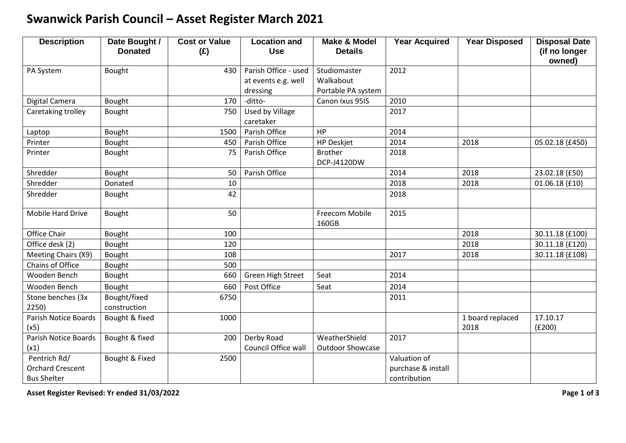## **Swanwick Parish Council – Asset Register March 2021**

| <b>Description</b>          | Date Bought /<br><b>Donated</b> | <b>Cost or Value</b> | <b>Location and</b>      | <b>Make &amp; Model</b>       | <b>Year Acquired</b> | <b>Year Disposed</b> | <b>Disposal Date</b>    |
|-----------------------------|---------------------------------|----------------------|--------------------------|-------------------------------|----------------------|----------------------|-------------------------|
|                             |                                 | (E)                  | <b>Use</b>               | <b>Details</b>                |                      |                      | (if no longer<br>owned) |
| PA System                   | Bought                          | 430                  | Parish Office - used     | Studiomaster                  | 2012                 |                      |                         |
|                             |                                 |                      | at events e.g. well      | Walkabout                     |                      |                      |                         |
|                             |                                 |                      | dressing                 | Portable PA system            |                      |                      |                         |
| Digital Camera              | Bought                          | 170                  | -ditto-                  | Canon Ixus 95IS               | 2010                 |                      |                         |
| Caretaking trolley          | Bought                          | 750                  | Used by Village          |                               | 2017                 |                      |                         |
|                             |                                 |                      | caretaker                |                               |                      |                      |                         |
| Laptop                      | Bought                          | 1500                 | Parish Office            | HP                            | 2014                 |                      |                         |
| Printer                     | Bought                          | 450                  | Parish Office            | <b>HP Deskjet</b>             | 2014                 | 2018                 | 05.02.18 (£450)         |
| Printer                     | Bought                          | 75                   | Parish Office            | <b>Brother</b><br>DCP-J4120DW | 2018                 |                      |                         |
| Shredder                    | Bought                          | 50                   | Parish Office            |                               | 2014                 | 2018                 | 23.02.18 (£50)          |
| Shredder                    | Donated                         | 10                   |                          |                               | 2018                 | 2018                 | 01.06.18 (£10)          |
| Shredder                    | Bought                          | 42                   |                          |                               | 2018                 |                      |                         |
| Mobile Hard Drive           | Bought                          | 50                   |                          | Freecom Mobile<br>160GB       | 2015                 |                      |                         |
| Office Chair                | Bought                          | 100                  |                          |                               |                      | 2018                 | 30.11.18 (£100)         |
| Office desk (2)             | Bought                          | 120                  |                          |                               |                      | 2018                 | 30.11.18 (£120)         |
| Meeting Chairs (X9)         | Bought                          | 108                  |                          |                               | 2017                 | 2018                 | 30.11.18 (£108)         |
| Chains of Office            | Bought                          | 500                  |                          |                               |                      |                      |                         |
| Wooden Bench                | Bought                          | 660                  | <b>Green High Street</b> | Seat                          | 2014                 |                      |                         |
| Wooden Bench                | Bought                          | 660                  | Post Office              | Seat                          | 2014                 |                      |                         |
| Stone benches (3x           | Bought/fixed                    | 6750                 |                          |                               | 2011                 |                      |                         |
| 2250)                       | construction                    |                      |                          |                               |                      |                      |                         |
| <b>Parish Notice Boards</b> | Bought & fixed                  | 1000                 |                          |                               |                      | 1 board replaced     | 17.10.17                |
| (x5)                        |                                 |                      |                          |                               |                      | 2018                 | (E200)                  |
| Parish Notice Boards        | Bought & fixed                  | 200                  | Derby Road               | WeatherShield                 | 2017                 |                      |                         |
| (x1)                        |                                 |                      | Council Office wall      | <b>Outdoor Showcase</b>       |                      |                      |                         |
| Pentrich Rd/                | Bought & Fixed                  | 2500                 |                          |                               | Valuation of         |                      |                         |
| <b>Orchard Crescent</b>     |                                 |                      |                          |                               | purchase & install   |                      |                         |
| <b>Bus Shelter</b>          |                                 |                      |                          |                               | contribution         |                      |                         |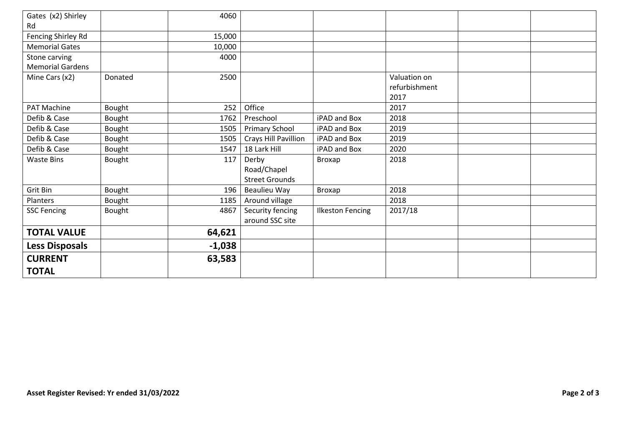| Gates (x2) Shirley<br>Rd |         | 4060     |                       |                         |               |  |
|--------------------------|---------|----------|-----------------------|-------------------------|---------------|--|
| Fencing Shirley Rd       |         | 15,000   |                       |                         |               |  |
| <b>Memorial Gates</b>    |         | 10,000   |                       |                         |               |  |
| Stone carving            |         | 4000     |                       |                         |               |  |
| <b>Memorial Gardens</b>  |         |          |                       |                         |               |  |
| Mine Cars (x2)           | Donated | 2500     |                       |                         | Valuation on  |  |
|                          |         |          |                       |                         | refurbishment |  |
|                          |         |          |                       |                         | 2017          |  |
| PAT Machine              | Bought  | 252      | Office                |                         | 2017          |  |
| Defib & Case             | Bought  | 1762     | Preschool             | iPAD and Box            | 2018          |  |
| Defib & Case             | Bought  | 1505     | <b>Primary School</b> | iPAD and Box            | 2019          |  |
| Defib & Case             | Bought  | 1505     | Crays Hill Pavillion  | iPAD and Box            | 2019          |  |
| Defib & Case             | Bought  | 1547     | 18 Lark Hill          | iPAD and Box            | 2020          |  |
| <b>Waste Bins</b>        | Bought  | 117      | Derby                 | Broxap                  | 2018          |  |
|                          |         |          | Road/Chapel           |                         |               |  |
|                          |         |          | <b>Street Grounds</b> |                         |               |  |
| Grit Bin                 | Bought  | 196      | Beaulieu Way          | Broxap                  | 2018          |  |
| Planters                 | Bought  | 1185     | Around village        |                         | 2018          |  |
| <b>SSC Fencing</b>       | Bought  | 4867     | Security fencing      | <b>Ilkeston Fencing</b> | 2017/18       |  |
|                          |         |          | around SSC site       |                         |               |  |
| <b>TOTAL VALUE</b>       |         | 64,621   |                       |                         |               |  |
| <b>Less Disposals</b>    |         | $-1,038$ |                       |                         |               |  |
| <b>CURRENT</b>           |         | 63,583   |                       |                         |               |  |
|                          |         |          |                       |                         |               |  |
| <b>TOTAL</b>             |         |          |                       |                         |               |  |